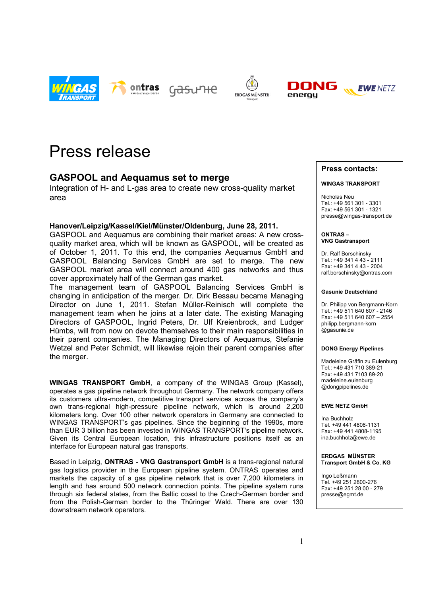



<u> Gasư ዝe</u>







# Press release

## **GASPOOL and Aequamus set to merge**

Integration of H- and L-gas area to create new cross-quality market area

### **Hanover/Leipzig/Kassel/Kiel/Münster/Oldenburg, June 28, 2011.**

GASPOOL and Aequamus are combining their market areas: A new crossquality market area, which will be known as GASPOOL, will be created as of October 1, 2011. To this end, the companies Aequamus GmbH and GASPOOL Balancing Services GmbH are set to merge. The new GASPOOL market area will connect around 400 gas networks and thus cover approximately half of the German gas market.

The management team of GASPOOL Balancing Services GmbH is changing in anticipation of the merger. Dr. Dirk Bessau became Managing Director on June 1, 2011. Stefan Müller-Reinisch will complete the management team when he joins at a later date. The existing Managing Directors of GASPOOL, Ingrid Peters, Dr. Ulf Kreienbrock, and Ludger Hümbs, will from now on devote themselves to their main responsibilities in their parent companies. The Managing Directors of Aequamus, Stefanie Wetzel and Peter Schmidt, will likewise rejoin their parent companies after the merger.

**WINGAS TRANSPORT GmbH**, a company of the WINGAS Group (Kassel), operates a gas pipeline network throughout Germany. The network company offers its customers ultra-modern, competitive transport services across the company's own trans-regional high-pressure pipeline network, which is around 2,200 kilometers long. Over 100 other network operators in Germany are connected to WINGAS TRANSPORT's gas pipelines. Since the beginning of the 1990s, more than EUR 3 billion has been invested in WINGAS TRANSPORT's pipeline network. Given its Central European location, this infrastructure positions itself as an interface for European natural gas transports.

Based in Leipzig, **ONTRAS - VNG Gastransport GmbH** is a trans-regional natural gas logistics provider in the European pipeline system. ONTRAS operates and markets the capacity of a gas pipeline network that is over 7,200 kilometers in length and has around 500 network connection points. The pipeline system runs through six federal states, from the Baltic coast to the Czech-German border and from the Polish-German border to the Thüringer Wald. There are over 130 downstream network operators.

#### **Press contacts:**

#### **WINGAS TRANSPORT**

Nicholas Neu Tel.: +49 561 301 - 3301 Fax: +49 561 301 - 1321 presse@wingas-transport.de

**ONTRAS – VNG Gastransport**

Dr. Ralf Borschinsky Tel.: +49 341 4 43 - 2111 Fax: +49 341 4 43 - 2004 ralf.borschinsky@ontras.com

#### **Gasunie Deutschland**

Dr. Philipp von Bergmann-Korn  $Tel: +49.511.640.607 - 2146$ Fax: +49 511 640 607 – 2554 philipp.bergmann-korn .<br>@gasunie.de

#### **DONG Energy Pipelines**

Madeleine Gräfin zu Eulenburg Tel.: +49 431 710 389-21 Fax: +49 431 7103 89-20 madeleine.eulenburg @dongpipelines.de

#### **EWE NETZ GmbH**

Ina Buchholz Tel. +49 441 4808-1131 Fax: +49 441 4808-1195 ina.buchholz@ewe.de

#### **ERDGAS MÜNSTER Transport GmbH & Co. KG**

Ingo Leßmann Tel. +49 251 2800-276 Fax: +49 251 28 00 - 279 presse@egmt.de